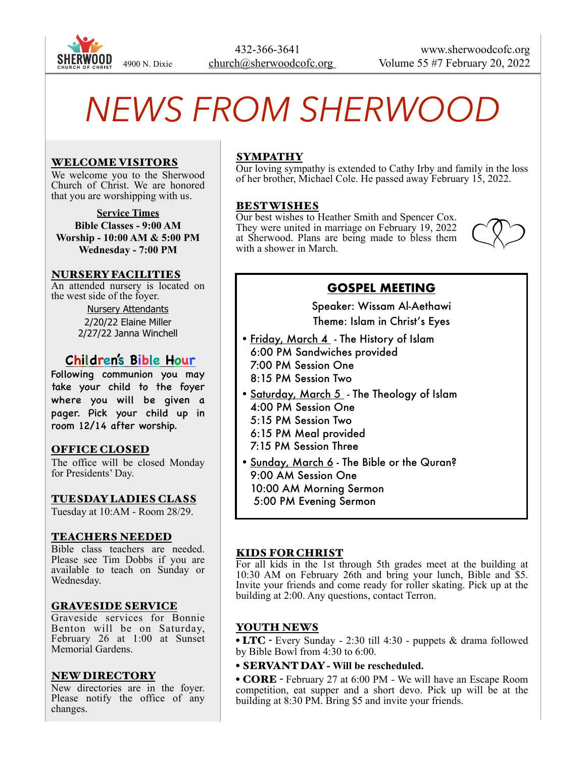

# *NEWS FROM SHERWOOD*

## WELCOME VISITORS

We welcome you to the Sherwood Church of Christ. We are honored that you are worshipping with us.

**Service Times Bible Classes - 9:00 AM Worship - 10:00 AM & 5:00 PM Wednesday - 7:00 PM**

## NURSERY FACILITIES

An attended nursery is located on the west side of the foyer.

> Nursery Attendants 2/20/22 Elaine Miller 2/27/22 Janna Winchell

# **Children's Bible Hour**

Following communion you may take your child to the foyer where you will be given a pager. Pick your child up in room 12/14 after worship.

## OFFICE CLOSED

The office will be closed Monday for Presidents' Day.

## TUESDAY LADIES CLASS

Tuesday at 10:AM - Room 28/29.

## TEACHERS NEEDED

Bible class teachers are needed. Please see Tim Dobbs if you are available to teach on Sunday or Wednesday.

## GRAVESIDE SERVICE

Graveside services for Bonnie Benton will be on Saturday, February 26 at 1:00 at Sunset Memorial Gardens.

## NEW DIRECTORY

New directories are in the foyer. Please notify the office of any changes.

# **SYMPATHY**

Our loving sympathy is extended to Cathy Irby and family in the loss of her brother, Michael Cole. He passed away February 15, 2022.

## **BESTWISHES**

Our best wishes to Heather Smith and Spencer Cox. They were united in marriage on February 19, 2022 at Sherwood. Plans are being made to bless them with a shower in March.



# **GOSPEL MEETING**

Speaker: Wissam Al-Aethawi Theme: Islam in Christ's Eyes

- Friday, March 4 The History of Islam
	- 6:00 PM Sandwiches provided
	- 7:00 PM Session One
- 8:15 PM Session Two
- Saturday, March 5 The Theology of Islam 4:00 PM Session One
	- 5:15 PM Session Two
	- 6:15 PM Meal provided
	- 7:15 PM Session Three
- Sunday, March 6 The Bible or the Quran? 9:00 AM Session One 10:00 AM Morning Sermon 5:00 PM Evening Sermon

## KIDS FOR CHRIST

For all kids in the 1st through 5th grades meet at the building at 10:30 AM on February 26th and bring your lunch, Bible and \$5. Invite your friends and come ready for roller skating. Pick up at the building at 2:00. Any questions, contact Terron.

## YOUTH NEWS

• LTC - Every Sunday - 2:30 till 4:30 - puppets & drama followed by Bible Bowl from 4:30 to 6:00.

• SERVANT DAY **- Will be rescheduled.** 

• CORE - February 27 at 6:00 PM - We will have an Escape Room competition, eat supper and a short devo. Pick up will be at the building at 8:30 PM. Bring \$5 and invite your friends.